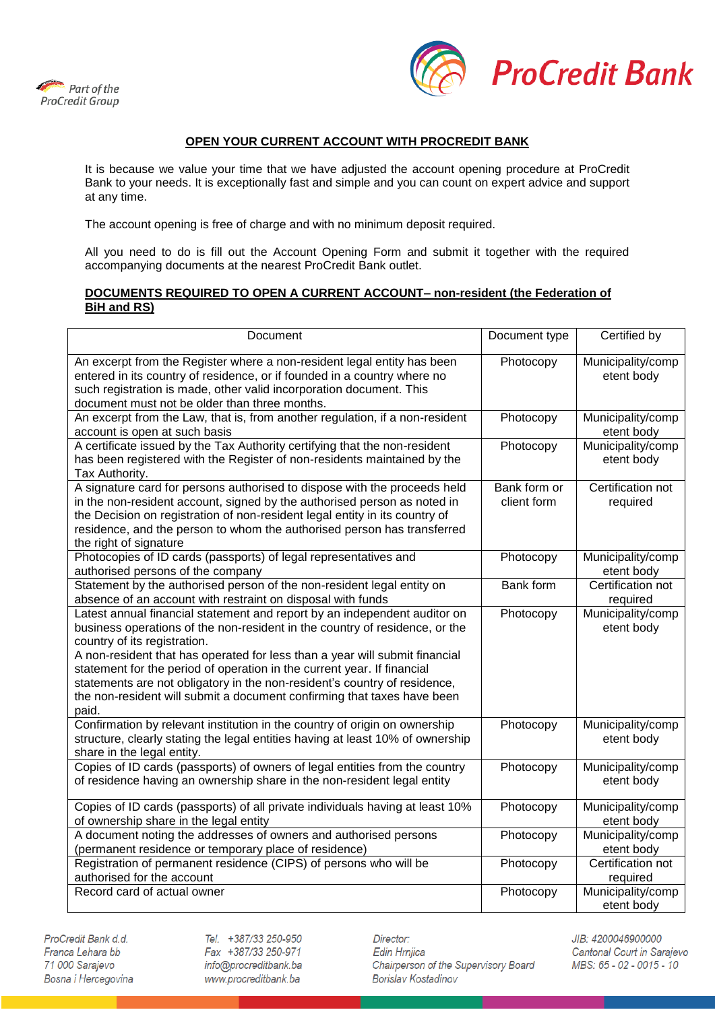



## **OPEN YOUR CURRENT ACCOUNT WITH PROCREDIT BANK**

It is because we value your time that we have adjusted the account opening procedure at ProCredit Bank to your needs. It is exceptionally fast and simple and you can count on expert advice and support at any time.

The account opening is free of charge and with no minimum deposit required.

All you need to do is fill out the Account Opening Form and submit it together with the required accompanying documents at the nearest ProCredit Bank outlet.

## **DOCUMENTS REQUIRED TO OPEN A CURRENT ACCOUNT– non-resident (the Federation of BiH and RS)**

| Document                                                                                                                                                                                                                                                                                                                                                                                                                                                                                                            | Document type               | Certified by                    |
|---------------------------------------------------------------------------------------------------------------------------------------------------------------------------------------------------------------------------------------------------------------------------------------------------------------------------------------------------------------------------------------------------------------------------------------------------------------------------------------------------------------------|-----------------------------|---------------------------------|
| An excerpt from the Register where a non-resident legal entity has been<br>entered in its country of residence, or if founded in a country where no<br>such registration is made, other valid incorporation document. This<br>document must not be older than three months.                                                                                                                                                                                                                                         | Photocopy                   | Municipality/comp<br>etent body |
| An excerpt from the Law, that is, from another regulation, if a non-resident<br>account is open at such basis                                                                                                                                                                                                                                                                                                                                                                                                       | Photocopy                   | Municipality/comp<br>etent body |
| A certificate issued by the Tax Authority certifying that the non-resident<br>has been registered with the Register of non-residents maintained by the<br>Tax Authority.                                                                                                                                                                                                                                                                                                                                            | Photocopy                   | Municipality/comp<br>etent body |
| A signature card for persons authorised to dispose with the proceeds held<br>in the non-resident account, signed by the authorised person as noted in<br>the Decision on registration of non-resident legal entity in its country of<br>residence, and the person to whom the authorised person has transferred<br>the right of signature                                                                                                                                                                           | Bank form or<br>client form | Certification not<br>required   |
| Photocopies of ID cards (passports) of legal representatives and<br>authorised persons of the company                                                                                                                                                                                                                                                                                                                                                                                                               | Photocopy                   | Municipality/comp<br>etent body |
| Statement by the authorised person of the non-resident legal entity on<br>absence of an account with restraint on disposal with funds                                                                                                                                                                                                                                                                                                                                                                               | <b>Bank form</b>            | Certification not<br>required   |
| Latest annual financial statement and report by an independent auditor on<br>business operations of the non-resident in the country of residence, or the<br>country of its registration.<br>A non-resident that has operated for less than a year will submit financial<br>statement for the period of operation in the current year. If financial<br>statements are not obligatory in the non-resident's country of residence,<br>the non-resident will submit a document confirming that taxes have been<br>paid. | Photocopy                   | Municipality/comp<br>etent body |
| Confirmation by relevant institution in the country of origin on ownership<br>structure, clearly stating the legal entities having at least 10% of ownership<br>share in the legal entity.                                                                                                                                                                                                                                                                                                                          | Photocopy                   | Municipality/comp<br>etent body |
| Copies of ID cards (passports) of owners of legal entities from the country<br>of residence having an ownership share in the non-resident legal entity                                                                                                                                                                                                                                                                                                                                                              | Photocopy                   | Municipality/comp<br>etent body |
| Copies of ID cards (passports) of all private individuals having at least 10%<br>of ownership share in the legal entity                                                                                                                                                                                                                                                                                                                                                                                             | Photocopy                   | Municipality/comp<br>etent body |
| A document noting the addresses of owners and authorised persons<br>(permanent residence or temporary place of residence)                                                                                                                                                                                                                                                                                                                                                                                           | Photocopy                   | Municipality/comp<br>etent body |
| Registration of permanent residence (CIPS) of persons who will be<br>authorised for the account                                                                                                                                                                                                                                                                                                                                                                                                                     | Photocopy                   | Certification not<br>required   |
| Record card of actual owner                                                                                                                                                                                                                                                                                                                                                                                                                                                                                         | Photocopy                   | Municipality/comp<br>etent body |

ProCredit Bank d.d. Franca Lehara bb 71 000 Sarajevo Bosna i Hercegovina Tel. +387/33 250-950 Fax +387/33 250-971 info@procreditbank.ba www.procreditbank.ba

Director: Edin Hrnjica Chairperson of the Supervisory Board **Borislav Kostadinov** 

JIB: 4200046900000 Cantonal Court in Sarajevo MBS: 65 - 02 - 0015 - 10